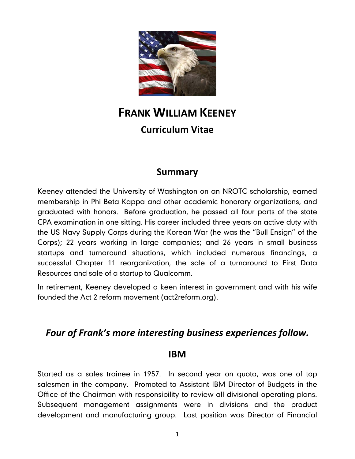

# **FRANK WILLIAM KEENEY Curriculum Vitae**

#### **Summary**

Keeney attended the University of Washington on an NROTC scholarship, earned membership in Phi Beta Kappa and other academic honorary organizations, and graduated with honors. Before graduation, he passed all four parts of the state CPA examination in one sitting. His career included three years on active duty with the US Navy Supply Corps during the Korean War (he was the "Bull Ensign" of the Corps); 22 years working in large companies; and 26 years in small business startups and turnaround situations, which included numerous financings, a successful Chapter 11 reorganization, the sale of a turnaround to First Data Resources and sale of a startup to Qualcomm.

In retirement, Keeney developed a keen interest in government and with his wife founded the Act 2 reform movement (act2reform.org).

### *Four of Frank's more interesting business experiences follow.*

#### **IBM**

Started as a sales trainee in 1957. In second year on quota, was one of top salesmen in the company. Promoted to Assistant IBM Director of Budgets in the Office of the Chairman with responsibility to review all divisional operating plans. Subsequent management assignments were in divisions and the product development and manufacturing group. Last position was Director of Financial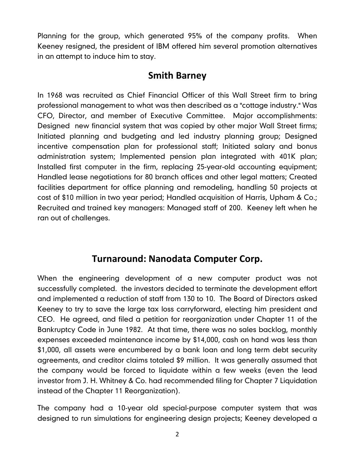Planning for the group, which generated 95% of the company profits. When Keeney resigned, the president of IBM offered him several promotion alternatives in an attempt to induce him to stay.

#### **Smith Barney**

In 1968 was recruited as Chief Financial Officer of this Wall Street firm to bring professional management to what was then described as a "cottage industry." Was CFO, Director, and member of Executive Committee. Major accomplishments: Designed new financial system that was copied by other major Wall Street firms; Initiated planning and budgeting and led industry planning group; Designed incentive compensation plan for professional staff; Initiated salary and bonus administration system; Implemented pension plan integrated with 401K plan; Installed first computer in the firm, replacing 25-year-old accounting equipment; Handled lease negotiations for 80 branch offices and other legal matters; Created facilities department for office planning and remodeling, handling 50 projects at cost of \$10 million in two year period; Handled acquisition of Harris, Upham & Co.; Recruited and trained key managers: Managed staff of 200. Keeney left when he ran out of challenges.

#### **Turnaround: Nanodata Computer Corp.**

When the engineering development of a new computer product was not successfully completed. the investors decided to terminate the development effort and implemented a reduction of staff from 130 to 10. The Board of Directors asked Keeney to try to save the large tax loss carryforward, electing him president and CEO. He agreed, and filed a petition for reorganization under Chapter 11 of the Bankruptcy Code in June 1982. At that time, there was no sales backlog, monthly expenses exceeded maintenance income by \$14,000, cash on hand was less than \$1,000, all assets were encumbered by a bank loan and long term debt security agreements, and creditor claims totaled \$9 million. It was generally assumed that the company would be forced to liquidate within a few weeks (even the lead investor from J. H. Whitney & Co. had recommended filing for Chapter 7 Liquidation instead of the Chapter 11 Reorganization).

The company had a 10-year old special-purpose computer system that was designed to run simulations for engineering design projects; Keeney developed a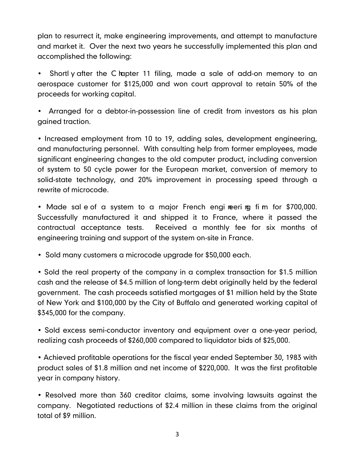plan to resurrect it, make engineering improvements, and attempt to manufacture and market it. Over the next two years he successfully implemented this plan and accomplished the following:

Shortl y after the C rapter 11 filing, made a sale of add-on memory to an aerospace customer for \$125,000 and won court approval to retain 50% of the proceeds for working capital.

• Arranged for a debtor-in-possession line of credit from investors as his plan gained traction.

• Increased employment from 10 to 19, adding sales, development engineering, and manufacturing personnel. With consulting help from former employees, made significant engineering changes to the old computer product, including conversion of system to 50 cycle power for the European market, conversion of memory to solid-state technology, and 20% improvement in processing speed through a rewrite of microcode.

• Made sal e of a system to a major French engi neeri ng fi m for \$700,000. Successfully manufactured it and shipped it to France, where it passed the contractual acceptance tests. Received a monthly fee for six months of engineering training and support of the system on-site in France.

• Sold many customers a microcode upgrade for \$50,000 each.

• Sold the real property of the company in a complex transaction for \$1.5 million cash and the release of \$4.5 million of long-term debt originally held by the federal government. The cash proceeds satisfied mortgages of \$1 million held by the State of New York and \$100,000 by the City of Buffalo and generated working capital of \$345,000 for the company.

• Sold excess semi-conductor inventory and equipment over a one-year period, realizing cash proceeds of \$260,000 compared to liquidator bids of \$25,000.

• Achieved profitable operations for the fiscal year ended September 30, 1983 with product sales of \$1.8 million and net income of \$220,000. It was the first profitable year in company history.

• Resolved more than 360 creditor claims, some involving lawsuits against the company. Negotiated reductions of \$2.4 million in these claims from the original total of \$9 million.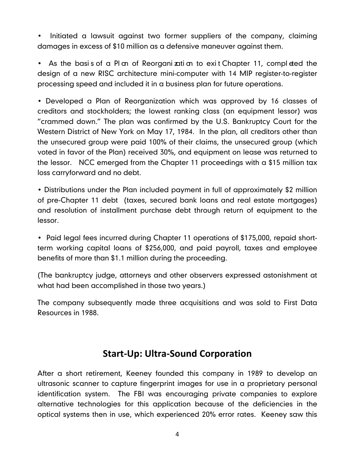• Initiated a lawsuit against two former suppliers of the company, claiming damages in excess of \$10 million as a defensive maneuver against them.

• As the basis of a Plan of Reorganization to exit Chapter 11, completed the design of a new RISC architecture mini-computer with 14 MIP register-to-register processing speed and included it in a business plan for future operations.

• Developed a Plan of Reorganization which was approved by 16 classes of creditors and stockholders; the lowest ranking class (an equipment lessor) was "crammed down." The plan was confirmed by the U.S. Bankruptcy Court for the Western District of New York on May 17, 1984. In the plan, all creditors other than the unsecured group were paid 100% of their claims, the unsecured group (which voted in favor of the Plan) received 30%, and equipment on lease was returned to the lessor. NCC emerged from the Chapter 11 proceedings with a \$15 million tax loss carryforward and no debt.

• Distributions under the Plan included payment in full of approximately \$2 million of pre-Chapter 11 debt (taxes, secured bank loans and real estate mortgages) and resolution of installment purchase debt through return of equipment to the lessor.

• Paid legal fees incurred during Chapter 11 operations of \$175,000, repaid shortterm working capital loans of \$256,000, and paid payroll, taxes and employee benefits of more than \$1.1 million during the proceeding.

(The bankruptcy judge, attorneys and other observers expressed astonishment at what had been accomplished in those two years.)

The company subsequently made three acquisitions and was sold to First Data Resources in 1988.

### **Start-Up: Ultra-Sound Corporation**

After a short retirement, Keeney founded this company in 1989 to develop an ultrasonic scanner to capture fingerprint images for use in a proprietary personal identification system. The FBI was encouraging private companies to explore alternative technologies for this application because of the deficiencies in the optical systems then in use, which experienced 20% error rates. Keeney saw this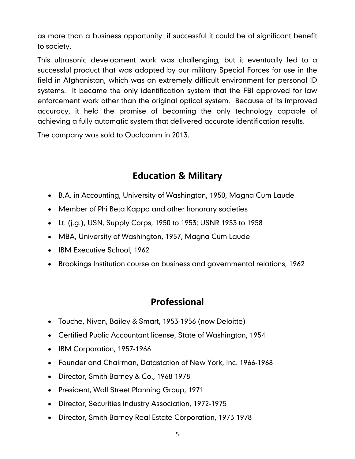as more than a business opportunity: if successful it could be of significant benefit to society.

This ultrasonic development work was challenging, but it eventually led to a successful product that was adopted by our military Special Forces for use in the field in Afghanistan, which was an extremely difficult environment for personal ID systems. It became the only identification system that the FBI approved for law enforcement work other than the original optical system. Because of its improved accuracy, it held the promise of becoming the only technology capable of achieving a fully automatic system that delivered accurate identification results.

The company was sold to Qualcomm in 2013.

## **Education & Military**

- B.A. in Accounting, University of Washington, 1950, Magna Cum Laude
- Member of Phi Beta Kappa and other honorary societies
- $\bullet$  Lt. (j.g.), USN, Supply Corps, 1950 to 1953; USNR 1953 to 1958
- MBA, University of Washington, 1957, Magna Cum Laude
- IBM Executive School, 1962
- Brookings Institution course on business and governmental relations, 1962

### **Professional**

- Touche, Niven, Bailey & Smart, 1953-1956 (now Deloitte)
- Certified Public Accountant license, State of Washington, 1954
- IBM Corporation, 1957-1966
- Founder and Chairman, Datastation of New York, Inc. 1966-1968
- Director, Smith Barney & Co., 1968-1978
- President, Wall Street Planning Group, 1971
- Director, Securities Industry Association, 1972-1975
- Director, Smith Barney Real Estate Corporation, 1973-1978